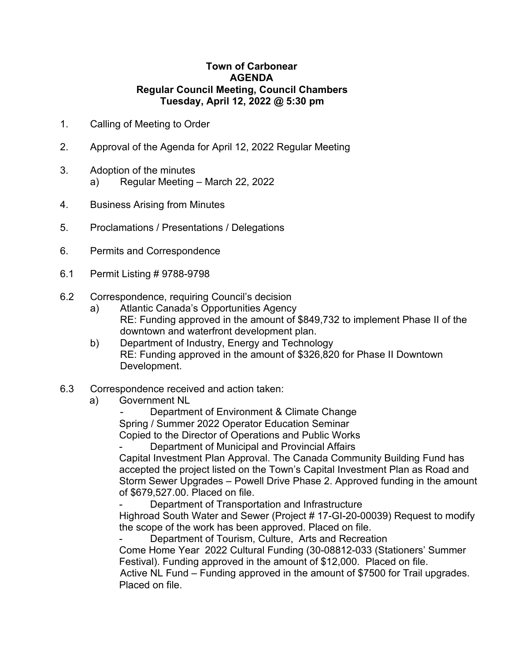## **Town of Carbonear AGENDA Regular Council Meeting, Council Chambers Tuesday, April 12, 2022 @ 5:30 pm**

- 1. Calling of Meeting to Order
- 2. Approval of the Agenda for April 12, 2022 Regular Meeting
- 3. Adoption of the minutes a) Regular Meeting – March 22, 2022
- 4. Business Arising from Minutes
- 5. Proclamations / Presentations / Delegations
- 6. Permits and Correspondence
- 6.1 Permit Listing # 9788-9798
- 6.2 Correspondence, requiring Council's decision
	- a) Atlantic Canada's Opportunities Agency RE: Funding approved in the amount of \$849,732 to implement Phase II of the downtown and waterfront development plan.
	- b) Department of Industry, Energy and Technology RE: Funding approved in the amount of \$326,820 for Phase II Downtown Development.
- 6.3 Correspondence received and action taken:
	- a) Government NL

Department of Environment & Climate Change Spring / Summer 2022 Operator Education Seminar Copied to the Director of Operations and Public Works

Department of Municipal and Provincial Affairs

Capital Investment Plan Approval. The Canada Community Building Fund has accepted the project listed on the Town's Capital Investment Plan as Road and Storm Sewer Upgrades – Powell Drive Phase 2. Approved funding in the amount of \$679,527.00. Placed on file.

Department of Transportation and Infrastructure

Highroad South Water and Sewer (Project # 17-GI-20-00039) Request to modify the scope of the work has been approved. Placed on file.

Department of Tourism, Culture, Arts and Recreation Come Home Year 2022 Cultural Funding (30-08812-033 (Stationers' Summer Festival). Funding approved in the amount of \$12,000. Placed on file. Active NL Fund – Funding approved in the amount of \$7500 for Trail upgrades. Placed on file.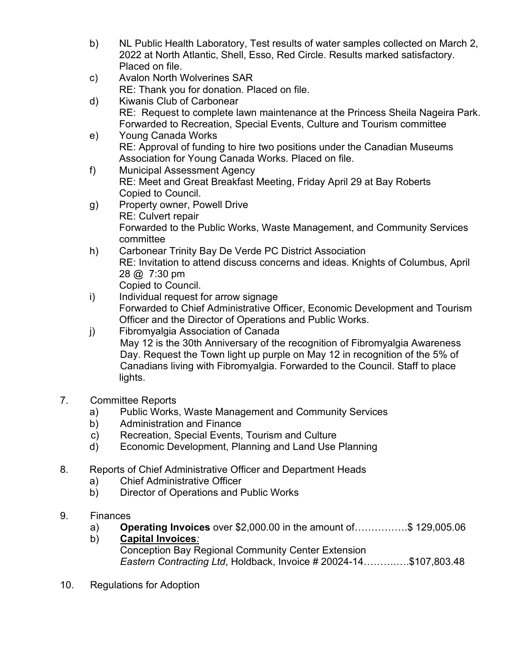- b) NL Public Health Laboratory, Test results of water samples collected on March 2, 2022 at North Atlantic, Shell, Esso, Red Circle. Results marked satisfactory. Placed on file.
- c) Avalon North Wolverines SAR RE: Thank you for donation. Placed on file.
- d) Kiwanis Club of Carbonear RE: Request to complete lawn maintenance at the Princess Sheila Nageira Park. Forwarded to Recreation, Special Events, Culture and Tourism committee
- e) Young Canada Works RE: Approval of funding to hire two positions under the Canadian Museums Association for Young Canada Works. Placed on file.
- f) Municipal Assessment Agency RE: Meet and Great Breakfast Meeting, Friday April 29 at Bay Roberts Copied to Council.
- g) Property owner, Powell Drive RE: Culvert repair Forwarded to the Public Works, Waste Management, and Community Services committee
- h) Carbonear Trinity Bay De Verde PC District Association RE: Invitation to attend discuss concerns and ideas. Knights of Columbus, April 28 @ 7:30 pm Copied to Council.
- i) Individual request for arrow signage Forwarded to Chief Administrative Officer, Economic Development and Tourism Officer and the Director of Operations and Public Works.
- j) Fibromyalgia Association of Canada May 12 is the 30th Anniversary of the recognition of Fibromyalgia Awareness Day. Request the Town light up purple on May 12 in recognition of the 5% of Canadians living with Fibromyalgia. Forwarded to the Council. Staff to place lights.
- 7. Committee Reports
	- a) Public Works, Waste Management and Community Services
	- b) Administration and Finance
	- c) Recreation, Special Events, Tourism and Culture
	- d) Economic Development, Planning and Land Use Planning
- 8. Reports of Chief Administrative Officer and Department Heads
	- a) Chief Administrative Officer
	- b) Director of Operations and Public Works
- 9. Finances
	- a) **Operating Invoices** over \$2,000.00 in the amount of…………….\$ 129,005.06
	- b) **Capital Invoices***:* Conception Bay Regional Community Center Extension *Eastern Contracting Ltd*, Holdback, Invoice # 20024-14……….….\$107,803.48
- 10. Regulations for Adoption